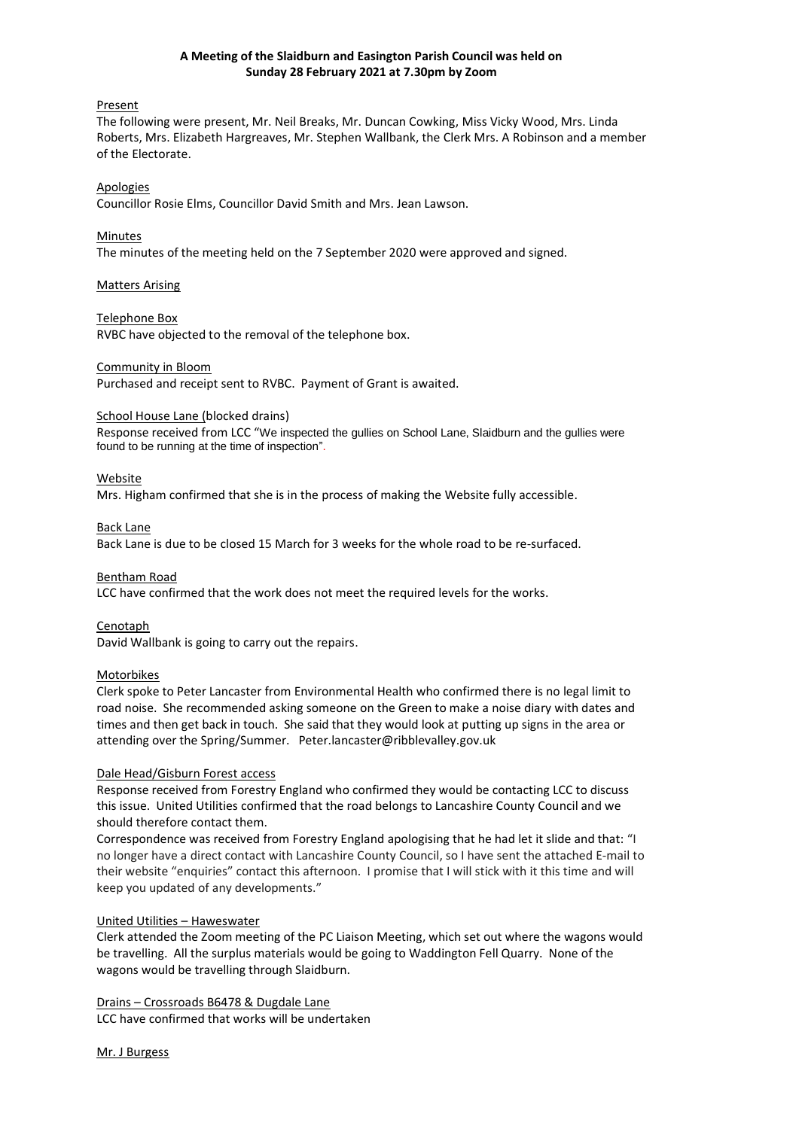#### **A Meeting of the Slaidburn and Easington Parish Council was held on Sunday 28 February 2021 at 7.30pm by Zoom**

#### Present

The following were present, Mr. Neil Breaks, Mr. Duncan Cowking, Miss Vicky Wood, Mrs. Linda Roberts, Mrs. Elizabeth Hargreaves, Mr. Stephen Wallbank, the Clerk Mrs. A Robinson and a member of the Electorate.

#### Apologies

Councillor Rosie Elms, Councillor David Smith and Mrs. Jean Lawson.

#### **Minutes**

The minutes of the meeting held on the 7 September 2020 were approved and signed.

#### Matters Arising

# Telephone Box

RVBC have objected to the removal of the telephone box.

#### Community in Bloom

Purchased and receipt sent to RVBC. Payment of Grant is awaited.

#### School House Lane (blocked drains)

Response received from LCC "We inspected the gullies on School Lane, Slaidburn and the gullies were found to be running at the time of inspection".

#### Website

Mrs. Higham confirmed that she is in the process of making the Website fully accessible.

#### Back Lane

Back Lane is due to be closed 15 March for 3 weeks for the whole road to be re-surfaced.

#### Bentham Road

LCC have confirmed that the work does not meet the required levels for the works.

## Cenotaph

David Wallbank is going to carry out the repairs.

#### Motorbikes

Clerk spoke to Peter Lancaster from Environmental Health who confirmed there is no legal limit to road noise. She recommended asking someone on the Green to make a noise diary with dates and times and then get back in touch. She said that they would look at putting up signs in the area or attending over the Spring/Summer. Peter.lancaster@ribblevalley.gov.uk

#### Dale Head/Gisburn Forest access

Response received from Forestry England who confirmed they would be contacting LCC to discuss this issue. United Utilities confirmed that the road belongs to Lancashire County Council and we should therefore contact them.

Correspondence was received from Forestry England apologising that he had let it slide and that: "I no longer have a direct contact with Lancashire County Council, so I have sent the attached E-mail to their website "enquiries" contact this afternoon. I promise that I will stick with it this time and will keep you updated of any developments."

## United Utilities – Haweswater

Clerk attended the Zoom meeting of the PC Liaison Meeting, which set out where the wagons would be travelling. All the surplus materials would be going to Waddington Fell Quarry. None of the wagons would be travelling through Slaidburn.

## Drains – Crossroads B6478 & Dugdale Lane

LCC have confirmed that works will be undertaken

Mr. J Burgess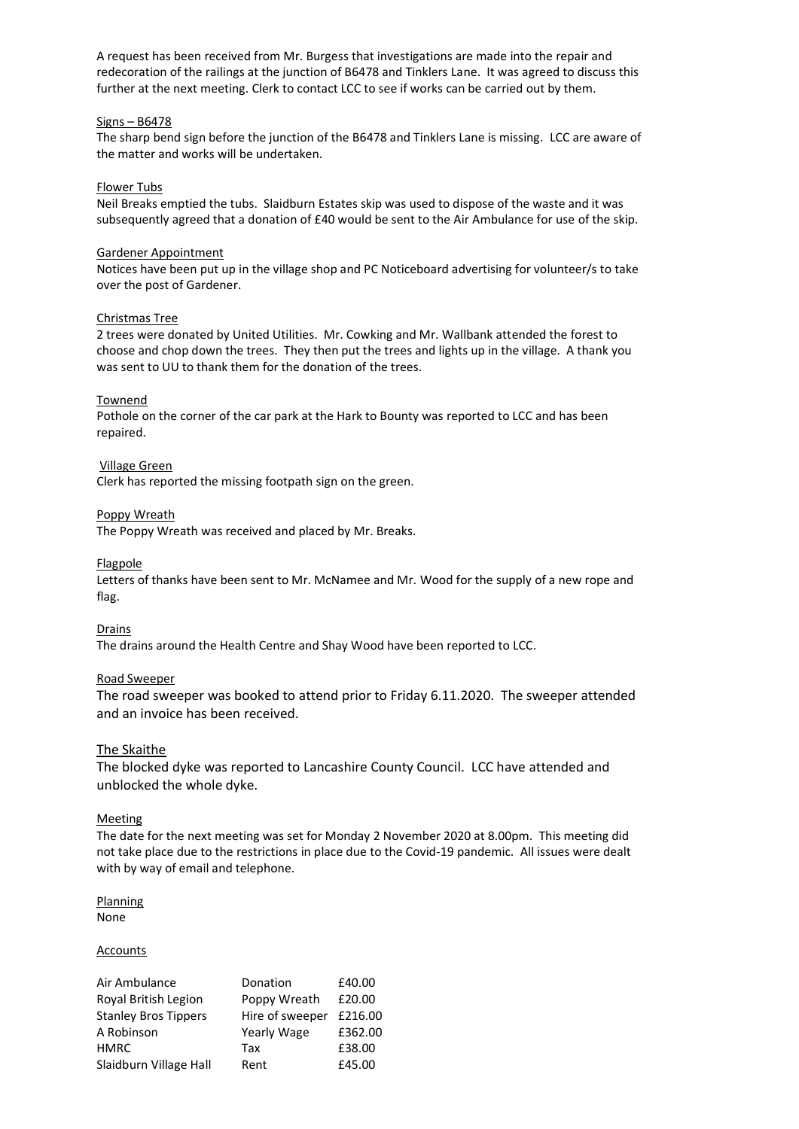A request has been received from Mr. Burgess that investigations are made into the repair and redecoration of the railings at the junction of B6478 and Tinklers Lane. It was agreed to discuss this further at the next meeting. Clerk to contact LCC to see if works can be carried out by them.

#### Signs – B6478

The sharp bend sign before the junction of the B6478 and Tinklers Lane is missing. LCC are aware of the matter and works will be undertaken.

#### Flower Tubs

Neil Breaks emptied the tubs. Slaidburn Estates skip was used to dispose of the waste and it was subsequently agreed that a donation of £40 would be sent to the Air Ambulance for use of the skip.

#### Gardener Appointment

Notices have been put up in the village shop and PC Noticeboard advertising for volunteer/s to take over the post of Gardener.

#### Christmas Tree

2 trees were donated by United Utilities. Mr. Cowking and Mr. Wallbank attended the forest to choose and chop down the trees. They then put the trees and lights up in the village. A thank you was sent to UU to thank them for the donation of the trees.

#### Townend

Pothole on the corner of the car park at the Hark to Bounty was reported to LCC and has been repaired.

#### Village Green

Clerk has reported the missing footpath sign on the green.

#### Poppy Wreath

The Poppy Wreath was received and placed by Mr. Breaks.

#### Flagpole

Letters of thanks have been sent to Mr. McNamee and Mr. Wood for the supply of a new rope and flag.

Drains

The drains around the Health Centre and Shay Wood have been reported to LCC.

## Road Sweeper

The road sweeper was booked to attend prior to Friday 6.11.2020. The sweeper attended and an invoice has been received.

## The Skaithe

The blocked dyke was reported to Lancashire County Council. LCC have attended and unblocked the whole dyke.

#### **Meeting**

The date for the next meeting was set for Monday 2 November 2020 at 8.00pm. This meeting did not take place due to the restrictions in place due to the Covid-19 pandemic. All issues were dealt with by way of email and telephone.

# **Planning**

None

#### Accounts

| Air Ambulance               | Donation        | £40.00  |
|-----------------------------|-----------------|---------|
| Royal British Legion        | Poppy Wreath    | £20.00  |
| <b>Stanley Bros Tippers</b> | Hire of sweeper | £216.00 |
| A Robinson                  | Yearly Wage     | £362.00 |
| <b>HMRC</b>                 | Tax             | £38.00  |
| Slaidburn Village Hall      | Rent            | £45.00  |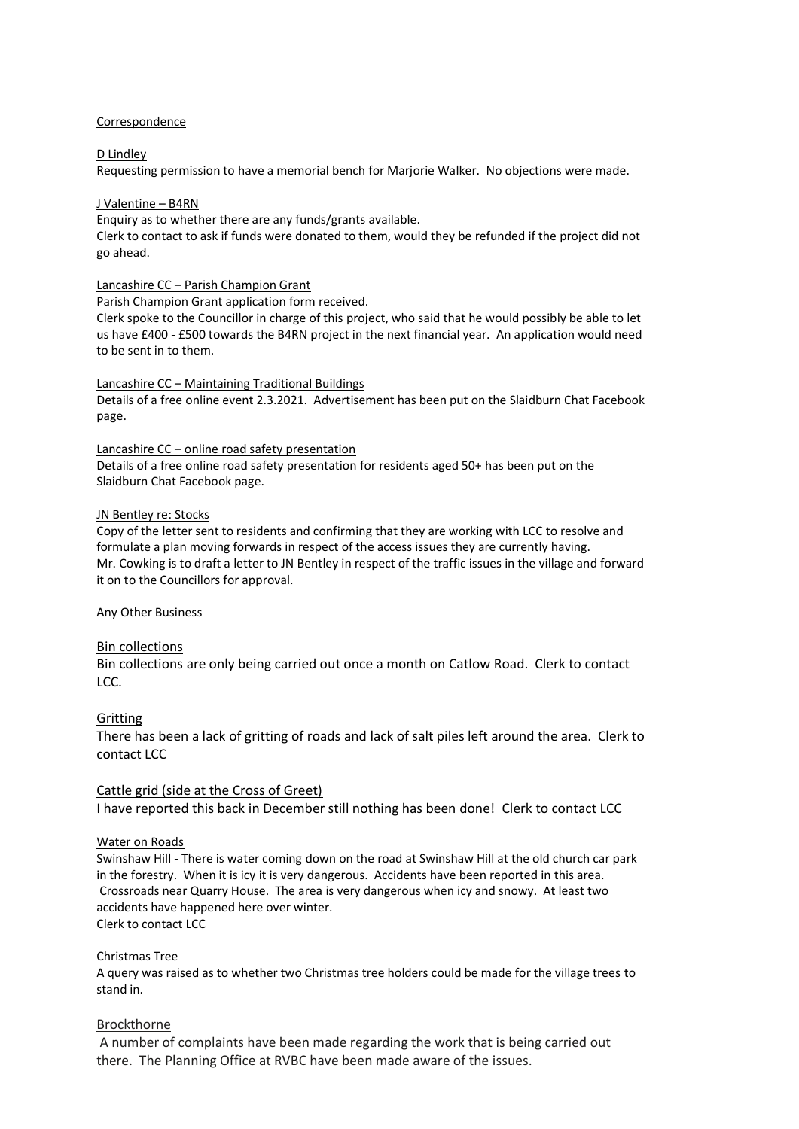#### Correspondence

#### D Lindley

Requesting permission to have a memorial bench for Marjorie Walker. No objections were made.

#### J Valentine – B4RN

Enquiry as to whether there are any funds/grants available.

Clerk to contact to ask if funds were donated to them, would they be refunded if the project did not go ahead.

#### Lancashire CC – Parish Champion Grant

Parish Champion Grant application form received.

Clerk spoke to the Councillor in charge of this project, who said that he would possibly be able to let us have £400 - £500 towards the B4RN project in the next financial year. An application would need to be sent in to them.

Lancashire CC – Maintaining Traditional Buildings

Details of a free online event 2.3.2021. Advertisement has been put on the Slaidburn Chat Facebook page.

Lancashire CC – online road safety presentation

Details of a free online road safety presentation for residents aged 50+ has been put on the Slaidburn Chat Facebook page.

#### JN Bentley re: Stocks

Copy of the letter sent to residents and confirming that they are working with LCC to resolve and formulate a plan moving forwards in respect of the access issues they are currently having. Mr. Cowking is to draft a letter to JN Bentley in respect of the traffic issues in the village and forward it on to the Councillors for approval.

#### Any Other Business

## Bin collections

Bin collections are only being carried out once a month on Catlow Road. Clerk to contact LCC.

## Gritting

There has been a lack of gritting of roads and lack of salt piles left around the area. Clerk to contact LCC

## Cattle grid (side at the Cross of Greet)

I have reported this back in December still nothing has been done! Clerk to contact LCC

## Water on Roads

Swinshaw Hill - There is water coming down on the road at Swinshaw Hill at the old church car park in the forestry. When it is icy it is very dangerous. Accidents have been reported in this area. Crossroads near Quarry House. The area is very dangerous when icy and snowy. At least two accidents have happened here over winter. Clerk to contact LCC

#### Christmas Tree

A query was raised as to whether two Christmas tree holders could be made for the village trees to stand in.

## Brockthorne

A number of complaints have been made regarding the work that is being carried out there. The Planning Office at RVBC have been made aware of the issues.